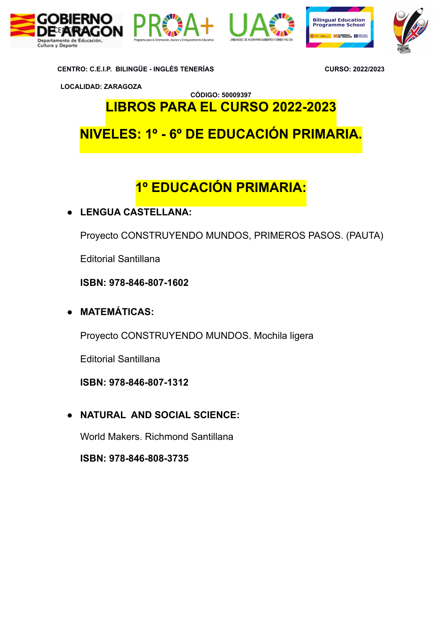









**LOCALIDAD: ZARAGOZA**

**CÓDIGO: 50009397 LIBROS PARA EL CURSO 2022-2023**

**NIVELES: 1º - 6º DE EDUCACIÓN PRIMARIA.**

# **1º EDUCACIÓN PRIMARIA:**

**● LENGUA CASTELLANA:**

Proyecto CONSTRUYENDO MUNDOS, PRIMEROS PASOS. (PAUTA)

Editorial Santillana

**ISBN: 978-846-807-1602** 

**● MATEMÁTICAS:** 

Proyecto CONSTRUYENDO MUNDOS. Mochila ligera

Editorial Santillana

**ISBN: 978-846-807-1312**

**● NATURAL AND SOCIAL SCIENCE:**

World Makers. Richmond Santillana

**ISBN: 978-846-808-3735**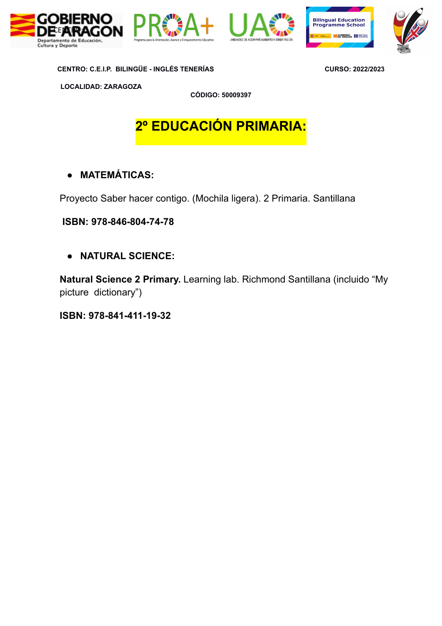







**LOCALIDAD: ZARAGOZA**

**CÓDIGO: 50009397**

# **2º EDUCACIÓN PRIMARIA:**

## **● MATEMÁTICAS:**

Proyecto Saber hacer contigo. (Mochila ligera). 2 Primaria. Santillana

 **ISBN: 978-846-804-74-78**

**● NATURAL SCIENCE:** 

**Natural Science 2 Primary.** Learning lab. Richmond Santillana (incluido "My picture dictionary")

**ISBN: 978-841-411-19-32**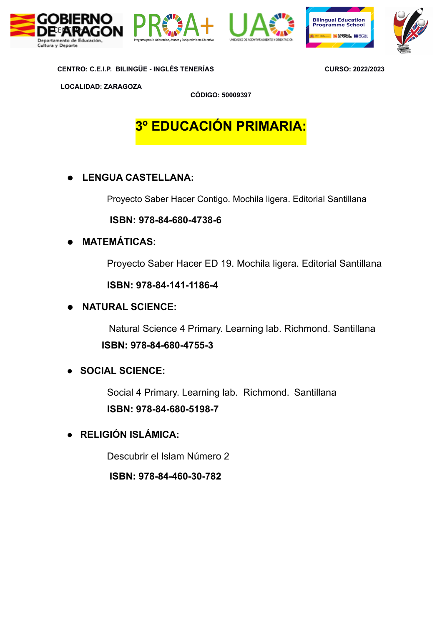







**LOCALIDAD: ZARAGOZA**

**CÓDIGO: 50009397**

# **3º EDUCACIÓN PRIMARIA:**

## **● LENGUA CASTELLANA:**

Proyecto Saber Hacer Contigo. Mochila ligera. Editorial Santillana

#### **ISBN: 978-84-680-4738-6**

## **● MATEMÁTICAS:**

Proyecto Saber Hacer ED 19. Mochila ligera. Editorial Santillana

 **ISBN: 978-84-141-1186-4**

## **● NATURAL SCIENCE:**

 Natural Science 4 Primary. Learning lab. Richmond. Santillana **ISBN: 978-84-680-4755-3**

## **● SOCIAL SCIENCE:**

 Social 4 Primary. Learning lab. Richmond. Santillana **ISBN: 978-84-680-5198-7**

**● RELIGIÓN ISLÁMICA:**

Descubrir el Islam Número 2

**ISBN: 978-84-460-30-782**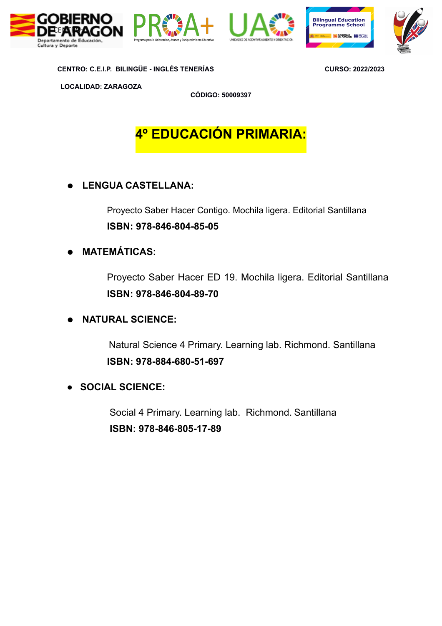









**LOCALIDAD: ZARAGOZA**

**CÓDIGO: 50009397**

## **4º EDUCACIÓN PRIMARIA:**

## **● LENGUA CASTELLANA:**

Proyecto Saber Hacer Contigo. Mochila ligera. Editorial Santillana **ISBN: 978-846-804-85-05**

## **● MATEMÁTICAS:**

Proyecto Saber Hacer ED 19. Mochila ligera. Editorial Santillana **ISBN: 978-846-804-89-70**

## **● NATURAL SCIENCE:**

 Natural Science 4 Primary. Learning lab. Richmond. Santillana **ISBN: 978-884-680-51-697**

## **● SOCIAL SCIENCE:**

 Social 4 Primary. Learning lab. Richmond. Santillana **ISBN: 978-846-805-17-89**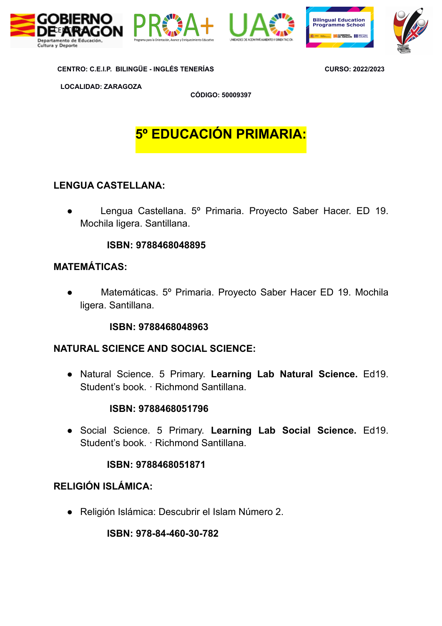







**LOCALIDAD: ZARAGOZA**

**CÓDIGO: 50009397**

## **5º EDUCACIÓN PRIMARIA:**

## **LENGUA CASTELLANA:**

Lengua Castellana. 5º Primaria. Proyecto Saber Hacer. ED 19. Mochila ligera. Santillana.

#### **ISBN: 9788468048895**

## **MATEMÁTICAS:**

Matemáticas. 5º Primaria. Proyecto Saber Hacer ED 19. Mochila ligera. Santillana.

#### **ISBN: 9788468048963**

#### **NATURAL SCIENCE AND SOCIAL SCIENCE:**

● Natural Science. 5 Primary. **Learning Lab Natural Science.** Ed19. Student's book. · Richmond Santillana.

#### **ISBN: 9788468051796**

● Social Science. 5 Primary. **Learning Lab Social Science.** Ed19. Student's book. · Richmond Santillana.

#### **ISBN: 9788468051871**

## **RELIGIÓN ISLÁMICA:**

**●** Religión Islámica: Descubrir el Islam Número 2.

**ISBN: 978-84-460-30-782**